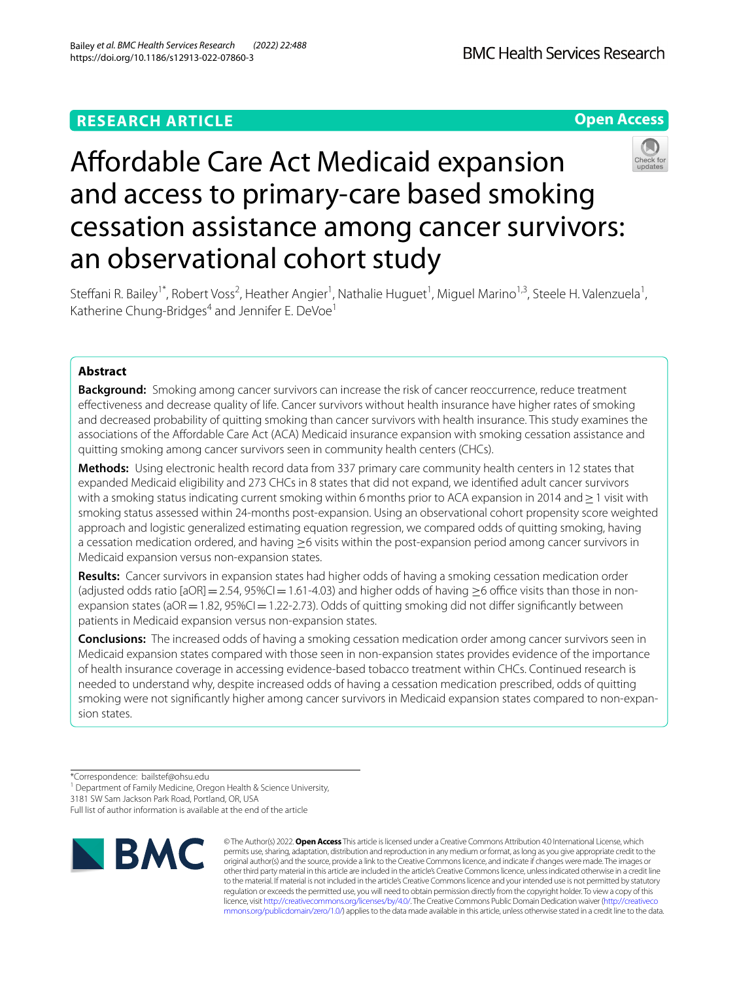# **RESEARCH ARTICLE**

**Open Access**



Steffani R. Bailey<sup>1\*</sup>, Robert Voss<sup>2</sup>, Heather Angier<sup>1</sup>, Nathalie Huguet<sup>1</sup>, Miguel Marino<sup>1,3</sup>, Steele H. Valenzuela<sup>1</sup>, Katherine Chung-Bridges<sup>4</sup> and Jennifer E. DeVoe<sup>1</sup>

# **Abstract**

**Background:** Smoking among cancer survivors can increase the risk of cancer reoccurrence, reduce treatment efectiveness and decrease quality of life. Cancer survivors without health insurance have higher rates of smoking and decreased probability of quitting smoking than cancer survivors with health insurance. This study examines the associations of the Afordable Care Act (ACA) Medicaid insurance expansion with smoking cessation assistance and quitting smoking among cancer survivors seen in community health centers (CHCs).

**Methods:** Using electronic health record data from 337 primary care community health centers in 12 states that expanded Medicaid eligibility and 273 CHCs in 8 states that did not expand, we identifed adult cancer survivors with a smoking status indicating current smoking within 6 months prior to ACA expansion in 2014 and ≥1 visit with smoking status assessed within 24-months post-expansion. Using an observational cohort propensity score weighted approach and logistic generalized estimating equation regression, we compared odds of quitting smoking, having a cessation medication ordered, and having ≥6 visits within the post-expansion period among cancer survivors in Medicaid expansion versus non-expansion states.

**Results:** Cancer survivors in expansion states had higher odds of having a smoking cessation medication order (adjusted odds ratio  $[aOR] = 2.54$ ,  $95\%$ CI=1.61-4.03) and higher odds of having >6 office visits than those in nonexpansion states ( $aOR = 1.82$ ,  $95\%$ CI = 1.22-2.73). Odds of quitting smoking did not differ significantly between patients in Medicaid expansion versus non-expansion states.

**Conclusions:** The increased odds of having a smoking cessation medication order among cancer survivors seen in Medicaid expansion states compared with those seen in non-expansion states provides evidence of the importance of health insurance coverage in accessing evidence-based tobacco treatment within CHCs. Continued research is needed to understand why, despite increased odds of having a cessation medication prescribed, odds of quitting smoking were not significantly higher among cancer survivors in Medicaid expansion states compared to non-expansion states.

\*Correspondence: bailstef@ohsu.edu

<sup>1</sup> Department of Family Medicine, Oregon Health & Science University,

3181 SW Sam Jackson Park Road, Portland, OR, USA

Full list of author information is available at the end of the article



© The Author(s) 2022. **Open Access** This article is licensed under a Creative Commons Attribution 4.0 International License, which permits use, sharing, adaptation, distribution and reproduction in any medium or format, as long as you give appropriate credit to the original author(s) and the source, provide a link to the Creative Commons licence, and indicate if changes were made. The images or other third party material in this article are included in the article's Creative Commons licence, unless indicated otherwise in a credit line to the material. If material is not included in the article's Creative Commons licence and your intended use is not permitted by statutory regulation or exceeds the permitted use, you will need to obtain permission directly from the copyright holder. To view a copy of this licence, visit [http://creativecommons.org/licenses/by/4.0/.](http://creativecommons.org/licenses/by/4.0/) The Creative Commons Public Domain Dedication waiver ([http://creativeco](http://creativecommons.org/publicdomain/zero/1.0/) [mmons.org/publicdomain/zero/1.0/](http://creativecommons.org/publicdomain/zero/1.0/)) applies to the data made available in this article, unless otherwise stated in a credit line to the data.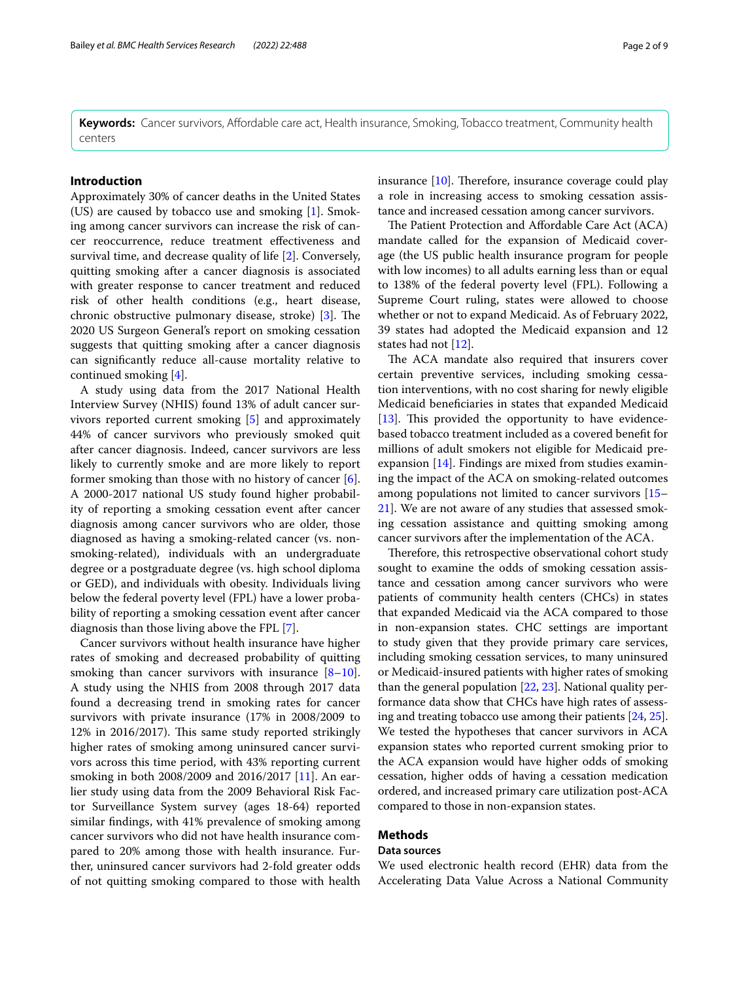**Keywords:** Cancer survivors, Afordable care act, Health insurance, Smoking, Tobacco treatment, Community health centers

# **Introduction**

Approximately 30% of cancer deaths in the United States (US) are caused by tobacco use and smoking [\[1](#page-7-0)]. Smoking among cancer survivors can increase the risk of cancer reoccurrence, reduce treatment efectiveness and survival time, and decrease quality of life [[2](#page-7-1)]. Conversely, quitting smoking after a cancer diagnosis is associated with greater response to cancer treatment and reduced risk of other health conditions (e.g., heart disease, chronic obstructive pulmonary disease, stroke)  $[3]$  $[3]$ . The 2020 US Surgeon General's report on smoking cessation suggests that quitting smoking after a cancer diagnosis can signifcantly reduce all-cause mortality relative to continued smoking [[4\]](#page-7-3).

A study using data from the 2017 National Health Interview Survey (NHIS) found 13% of adult cancer survivors reported current smoking [\[5](#page-7-4)] and approximately 44% of cancer survivors who previously smoked quit after cancer diagnosis. Indeed, cancer survivors are less likely to currently smoke and are more likely to report former smoking than those with no history of cancer [\[6](#page-7-5)]. A 2000-2017 national US study found higher probability of reporting a smoking cessation event after cancer diagnosis among cancer survivors who are older, those diagnosed as having a smoking-related cancer (vs. nonsmoking-related), individuals with an undergraduate degree or a postgraduate degree (vs. high school diploma or GED), and individuals with obesity. Individuals living below the federal poverty level (FPL) have a lower probability of reporting a smoking cessation event after cancer diagnosis than those living above the FPL [[7\]](#page-7-6).

Cancer survivors without health insurance have higher rates of smoking and decreased probability of quitting smoking than cancer survivors with insurance  $[8-10]$  $[8-10]$ . A study using the NHIS from 2008 through 2017 data found a decreasing trend in smoking rates for cancer survivors with private insurance (17% in 2008/2009 to 12% in 2016/2017). This same study reported strikingly higher rates of smoking among uninsured cancer survivors across this time period, with 43% reporting current smoking in both 2008/2009 and 2016/2017 [[11\]](#page-7-9). An earlier study using data from the 2009 Behavioral Risk Factor Surveillance System survey (ages 18-64) reported similar fndings, with 41% prevalence of smoking among cancer survivors who did not have health insurance compared to 20% among those with health insurance. Further, uninsured cancer survivors had 2-fold greater odds of not quitting smoking compared to those with health insurance  $[10]$  $[10]$ . Therefore, insurance coverage could play a role in increasing access to smoking cessation assistance and increased cessation among cancer survivors.

The Patient Protection and Affordable Care Act (ACA) mandate called for the expansion of Medicaid coverage (the US public health insurance program for people with low incomes) to all adults earning less than or equal to 138% of the federal poverty level (FPL). Following a Supreme Court ruling, states were allowed to choose whether or not to expand Medicaid. As of February 2022, 39 states had adopted the Medicaid expansion and 12 states had not [[12\]](#page-7-10).

The ACA mandate also required that insurers cover certain preventive services, including smoking cessation interventions, with no cost sharing for newly eligible Medicaid benefciaries in states that expanded Medicaid [[13\]](#page-7-11). This provided the opportunity to have evidencebased tobacco treatment included as a covered beneft for millions of adult smokers not eligible for Medicaid preexpansion [[14\]](#page-7-12). Findings are mixed from studies examining the impact of the ACA on smoking-related outcomes among populations not limited to cancer survivors [[15–](#page-7-13) [21\]](#page-7-14). We are not aware of any studies that assessed smoking cessation assistance and quitting smoking among cancer survivors after the implementation of the ACA.

Therefore, this retrospective observational cohort study sought to examine the odds of smoking cessation assistance and cessation among cancer survivors who were patients of community health centers (CHCs) in states that expanded Medicaid via the ACA compared to those in non-expansion states. CHC settings are important to study given that they provide primary care services, including smoking cessation services, to many uninsured or Medicaid-insured patients with higher rates of smoking than the general population [\[22](#page-7-15), [23\]](#page-7-16). National quality performance data show that CHCs have high rates of assessing and treating tobacco use among their patients [\[24](#page-7-17), [25](#page-7-18)]. We tested the hypotheses that cancer survivors in ACA expansion states who reported current smoking prior to the ACA expansion would have higher odds of smoking cessation, higher odds of having a cessation medication ordered, and increased primary care utilization post-ACA compared to those in non-expansion states.

### **Methods**

## **Data sources**

We used electronic health record (EHR) data from the Accelerating Data Value Across a National Community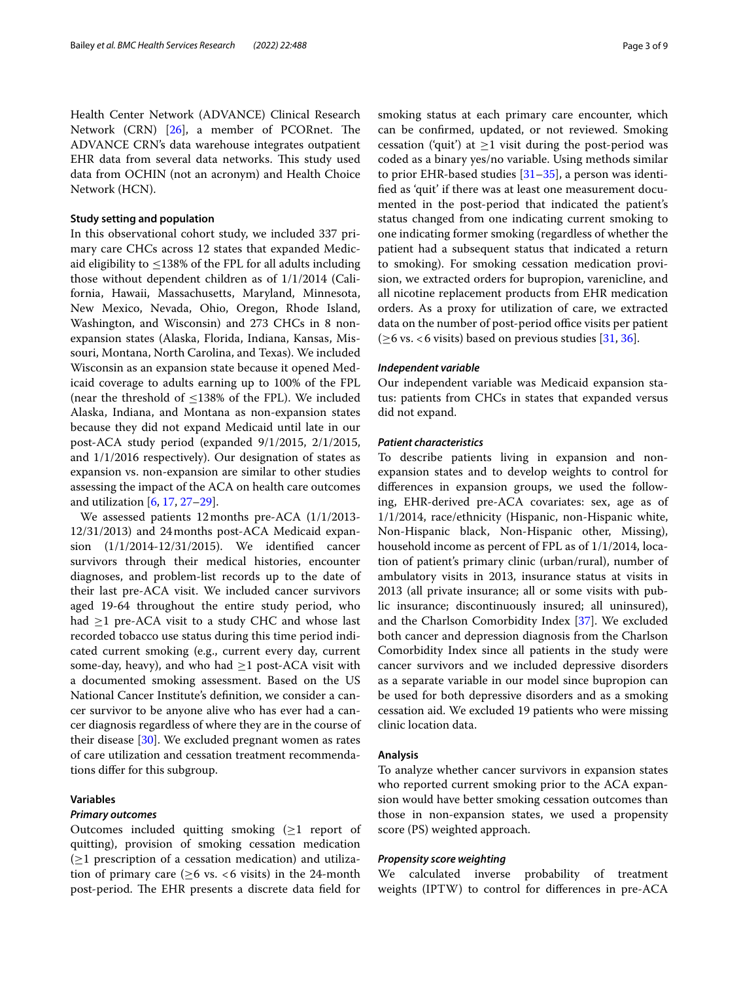Health Center Network (ADVANCE) Clinical Research Network  $(CRN)$  [[26\]](#page-7-19), a member of PCORnet. The ADVANCE CRN's data warehouse integrates outpatient EHR data from several data networks. This study used data from OCHIN (not an acronym) and Health Choice Network (HCN).

## **Study setting and population**

In this observational cohort study, we included 337 primary care CHCs across 12 states that expanded Medicaid eligibility to  $\leq$ 138% of the FPL for all adults including those without dependent children as of 1/1/2014 (California, Hawaii, Massachusetts, Maryland, Minnesota, New Mexico, Nevada, Ohio, Oregon, Rhode Island, Washington, and Wisconsin) and 273 CHCs in 8 nonexpansion states (Alaska, Florida, Indiana, Kansas, Missouri, Montana, North Carolina, and Texas). We included Wisconsin as an expansion state because it opened Medicaid coverage to adults earning up to 100% of the FPL (near the threshold of  $\leq$ 138% of the FPL). We included Alaska, Indiana, and Montana as non-expansion states because they did not expand Medicaid until late in our post-ACA study period (expanded 9/1/2015, 2/1/2015, and 1/1/2016 respectively). Our designation of states as expansion vs. non-expansion are similar to other studies assessing the impact of the ACA on health care outcomes and utilization [[6](#page-7-5), [17,](#page-7-20) [27](#page-7-21)[–29\]](#page-7-22).

We assessed patients 12months pre-ACA (1/1/2013- 12/31/2013) and 24months post-ACA Medicaid expansion (1/1/2014-12/31/2015). We identifed cancer survivors through their medical histories, encounter diagnoses, and problem-list records up to the date of their last pre-ACA visit. We included cancer survivors aged 19-64 throughout the entire study period, who had  $\geq$ 1 pre-ACA visit to a study CHC and whose last recorded tobacco use status during this time period indicated current smoking (e.g., current every day, current some-day, heavy), and who had  $\geq 1$  post-ACA visit with a documented smoking assessment. Based on the US National Cancer Institute's defnition, we consider a cancer survivor to be anyone alive who has ever had a cancer diagnosis regardless of where they are in the course of their disease [[30\]](#page-7-23). We excluded pregnant women as rates of care utilization and cessation treatment recommendations difer for this subgroup.

# **Variables**

### *Primary outcomes*

Outcomes included quitting smoking  $(\geq 1$  report of quitting), provision of smoking cessation medication  $(\geq 1$  prescription of a cessation medication) and utilization of primary care ( $\geq 6$  vs. <6 visits) in the 24-month post-period. The EHR presents a discrete data field for smoking status at each primary care encounter, which can be confrmed, updated, or not reviewed. Smoking cessation ('quit') at  $\geq$ 1 visit during the post-period was coded as a binary yes/no variable. Using methods similar to prior EHR-based studies  $[31-35]$  $[31-35]$ , a person was identifed as 'quit' if there was at least one measurement documented in the post-period that indicated the patient's status changed from one indicating current smoking to one indicating former smoking (regardless of whether the patient had a subsequent status that indicated a return to smoking). For smoking cessation medication provision, we extracted orders for bupropion, varenicline, and all nicotine replacement products from EHR medication orders. As a proxy for utilization of care, we extracted data on the number of post-period office visits per patient ( $\geq$ 6 vs. < 6 visits) based on previous studies [\[31](#page-7-24), [36](#page-8-1)].

#### *Independent variable*

Our independent variable was Medicaid expansion status: patients from CHCs in states that expanded versus did not expand.

# *Patient characteristics*

To describe patients living in expansion and nonexpansion states and to develop weights to control for diferences in expansion groups, we used the following, EHR-derived pre-ACA covariates: sex, age as of 1/1/2014, race/ethnicity (Hispanic, non-Hispanic white, Non-Hispanic black, Non-Hispanic other, Missing), household income as percent of FPL as of 1/1/2014, location of patient's primary clinic (urban/rural), number of ambulatory visits in 2013, insurance status at visits in 2013 (all private insurance; all or some visits with public insurance; discontinuously insured; all uninsured), and the Charlson Comorbidity Index [\[37](#page-8-2)]. We excluded both cancer and depression diagnosis from the Charlson Comorbidity Index since all patients in the study were cancer survivors and we included depressive disorders as a separate variable in our model since bupropion can be used for both depressive disorders and as a smoking cessation aid. We excluded 19 patients who were missing clinic location data.

# **Analysis**

To analyze whether cancer survivors in expansion states who reported current smoking prior to the ACA expansion would have better smoking cessation outcomes than those in non-expansion states, we used a propensity score (PS) weighted approach.

# *Propensity score weighting*

We calculated inverse probability of treatment weights (IPTW) to control for diferences in pre-ACA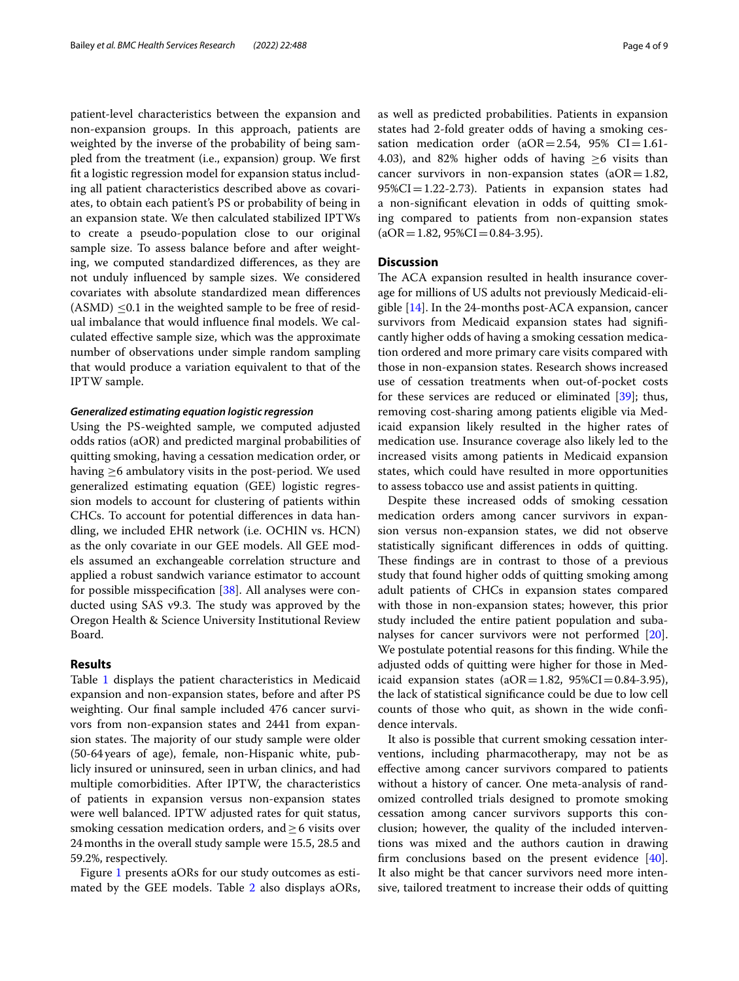patient-level characteristics between the expansion and non-expansion groups. In this approach, patients are weighted by the inverse of the probability of being sampled from the treatment (i.e., expansion) group. We frst ft a logistic regression model for expansion status including all patient characteristics described above as covariates, to obtain each patient's PS or probability of being in an expansion state. We then calculated stabilized IPTWs to create a pseudo-population close to our original sample size. To assess balance before and after weighting, we computed standardized diferences, as they are not unduly infuenced by sample sizes. We considered covariates with absolute standardized mean diferences  $(ASMD) \leq 0.1$  in the weighted sample to be free of residual imbalance that would infuence fnal models. We calculated efective sample size, which was the approximate number of observations under simple random sampling that would produce a variation equivalent to that of the IPTW sample.

# *Generalized estimating equation logistic regression*

Using the PS-weighted sample, we computed adjusted odds ratios (aOR) and predicted marginal probabilities of quitting smoking, having a cessation medication order, or having  $\geq$ 6 ambulatory visits in the post-period. We used generalized estimating equation (GEE) logistic regression models to account for clustering of patients within CHCs. To account for potential diferences in data handling, we included EHR network (i.e. OCHIN vs. HCN) as the only covariate in our GEE models. All GEE models assumed an exchangeable correlation structure and applied a robust sandwich variance estimator to account for possible misspecifcation [[38\]](#page-8-3). All analyses were conducted using SAS v9.3. The study was approved by the Oregon Health & Science University Institutional Review Board.

# **Results**

Table [1](#page-4-0) displays the patient characteristics in Medicaid expansion and non-expansion states, before and after PS weighting. Our fnal sample included 476 cancer survivors from non-expansion states and 2441 from expansion states. The majority of our study sample were older (50-64years of age), female, non-Hispanic white, publicly insured or uninsured, seen in urban clinics, and had multiple comorbidities. After IPTW, the characteristics of patients in expansion versus non-expansion states were well balanced. IPTW adjusted rates for quit status, smoking cessation medication orders, and  $\geq$  6 visits over 24months in the overall study sample were 15.5, 28.5 and 59.2%, respectively.

Figure [1](#page-5-0) presents aORs for our study outcomes as estimated by the GEE models. Table [2](#page-5-1) also displays aORs, as well as predicted probabilities. Patients in expansion states had 2-fold greater odds of having a smoking cessation medication order ( $aOR = 2.54$ ,  $95\%$  CI = 1.61-4.03), and 82% higher odds of having  $\geq$ 6 visits than cancer survivors in non-expansion states ( $aOR = 1.82$ ,  $95\%CI = 1.22 - 2.73$ . Patients in expansion states had a non-signifcant elevation in odds of quitting smoking compared to patients from non-expansion states  $(aOR = 1.82, 95\% CI = 0.84-3.95).$ 

# **Discussion**

The ACA expansion resulted in health insurance coverage for millions of US adults not previously Medicaid-eligible [[14\]](#page-7-12). In the 24-months post-ACA expansion, cancer survivors from Medicaid expansion states had signifcantly higher odds of having a smoking cessation medication ordered and more primary care visits compared with those in non-expansion states. Research shows increased use of cessation treatments when out-of-pocket costs for these services are reduced or eliminated [\[39](#page-8-4)]; thus, removing cost-sharing among patients eligible via Medicaid expansion likely resulted in the higher rates of medication use. Insurance coverage also likely led to the increased visits among patients in Medicaid expansion states, which could have resulted in more opportunities to assess tobacco use and assist patients in quitting.

Despite these increased odds of smoking cessation medication orders among cancer survivors in expansion versus non-expansion states, we did not observe statistically signifcant diferences in odds of quitting. These findings are in contrast to those of a previous study that found higher odds of quitting smoking among adult patients of CHCs in expansion states compared with those in non-expansion states; however, this prior study included the entire patient population and subanalyses for cancer survivors were not performed [\[20](#page-7-25)]. We postulate potential reasons for this fnding. While the adjusted odds of quitting were higher for those in Medicaid expansion states ( $aOR = 1.82$ ,  $95\%CI = 0.84-3.95$ ), the lack of statistical signifcance could be due to low cell counts of those who quit, as shown in the wide confdence intervals.

It also is possible that current smoking cessation interventions, including pharmacotherapy, may not be as efective among cancer survivors compared to patients without a history of cancer. One meta-analysis of randomized controlled trials designed to promote smoking cessation among cancer survivors supports this conclusion; however, the quality of the included interventions was mixed and the authors caution in drawing frm conclusions based on the present evidence [\[40](#page-8-5)]. It also might be that cancer survivors need more intensive, tailored treatment to increase their odds of quitting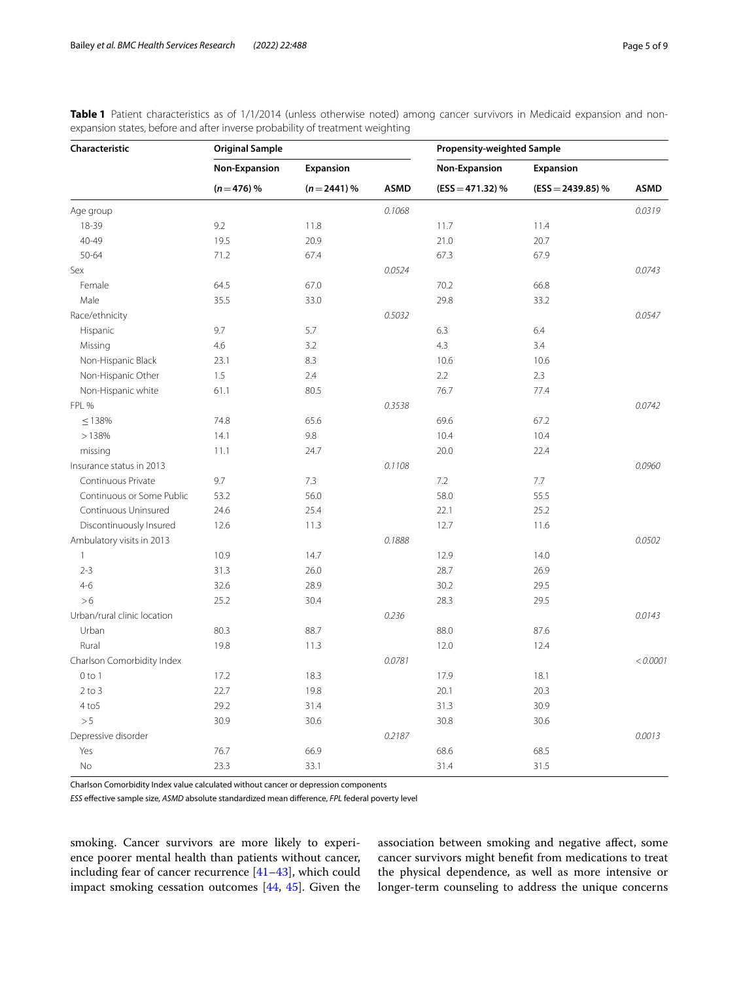<span id="page-4-0"></span>

|  | Table 1 Patient characteristics as of 1/1/2014 (unless otherwise noted) among cancer survivors in Medicaid expansion and non- |  |  |  |  |  |  |  |
|--|-------------------------------------------------------------------------------------------------------------------------------|--|--|--|--|--|--|--|
|  | expansion states, before and after inverse probability of treatment weighting                                                 |  |  |  |  |  |  |  |

| Characteristic              | <b>Original Sample</b> |              |             | <b>Propensity-weighted Sample</b> |                     |             |  |
|-----------------------------|------------------------|--------------|-------------|-----------------------------------|---------------------|-------------|--|
|                             | Non-Expansion          | Expansion    |             | Non-Expansion                     | <b>Expansion</b>    |             |  |
|                             | $(n=476)$ %            | $(n=2441)$ % | <b>ASMD</b> | $(ESS = 471.32) %$                | $(ESS = 2439.85) %$ | <b>ASMD</b> |  |
| Age group                   |                        |              | 0.1068      |                                   |                     | 0.0319      |  |
| 18-39                       | 9.2                    | 11.8         |             | 11.7                              | 11.4                |             |  |
| 40-49                       | 19.5                   | 20.9         |             | 21.0                              | 20.7                |             |  |
| $50 - 64$                   | 71.2                   | 67.4         |             | 67.3                              | 67.9                |             |  |
| Sex                         |                        |              | 0.0524      |                                   |                     | 0.0743      |  |
| Female                      | 64.5                   | 67.0         |             | 70.2                              | 66.8                |             |  |
| Male                        | 35.5                   | 33.0         |             | 29.8                              | 33.2                |             |  |
| Race/ethnicity              |                        |              | 0.5032      |                                   |                     | 0.0547      |  |
| Hispanic                    | 9.7                    | 5.7          |             | 6.3                               | 6.4                 |             |  |
| Missing                     | 4.6                    | 3.2          |             | 4.3                               | 3.4                 |             |  |
| Non-Hispanic Black          | 23.1                   | 8.3          |             | 10.6                              | 10.6                |             |  |
| Non-Hispanic Other          | 1.5                    | 2.4          |             | 2.2                               | 2.3                 |             |  |
| Non-Hispanic white          | 61.1                   | 80.5         |             | 76.7                              | 77.4                |             |  |
| FPL %                       |                        |              | 0.3538      |                                   |                     | 0.0742      |  |
| $\leq 138\%$                | 74.8                   | 65.6         |             | 69.6                              | 67.2                |             |  |
| >138%                       | 14.1                   | 9.8          |             | 10.4                              | 10.4                |             |  |
| missing                     | 11.1                   | 24.7         |             | 20.0                              | 22.4                |             |  |
| Insurance status in 2013    |                        |              | 0.1108      |                                   |                     | 0.0960      |  |
| Continuous Private          | 9.7                    | 7.3          |             | 7.2                               | 7.7                 |             |  |
| Continuous or Some Public   | 53.2                   | 56.0         |             | 58.0                              | 55.5                |             |  |
| Continuous Uninsured        | 24.6                   | 25.4         |             | 22.1                              | 25.2                |             |  |
| Discontinuously Insured     | 12.6                   | 11.3         |             | 12.7                              | 11.6                |             |  |
| Ambulatory visits in 2013   |                        |              | 0.1888      |                                   |                     | 0.0502      |  |
| $\mathbf{1}$                | 10.9                   | 14.7         |             | 12.9                              | 14.0                |             |  |
| $2 - 3$                     | 31.3                   | 26.0         |             | 28.7                              | 26.9                |             |  |
| $4 - 6$                     | 32.6                   | 28.9         |             | 30.2                              | 29.5                |             |  |
| >6                          | 25.2                   | 30.4         |             | 28.3                              | 29.5                |             |  |
| Urban/rural clinic location |                        |              | 0.236       |                                   |                     | 0.0143      |  |
| Urban                       | 80.3                   | 88.7         |             | 88.0                              | 87.6                |             |  |
| Rural                       | 19.8                   | 11.3         |             | 12.0                              | 12.4                |             |  |
| Charlson Comorbidity Index  |                        |              | 0.0781      |                                   |                     | < 0.0001    |  |
| $0$ to $1$                  | 17.2                   | 18.3         |             | 17.9                              | 18.1                |             |  |
| $2$ to $3$                  | 22.7                   | 19.8         |             | 20.1                              | 20.3                |             |  |
| $4$ to $5$                  | 29.2                   | 31.4         |             | 31.3                              | 30.9                |             |  |
| $>5\,$                      | 30.9                   | 30.6         |             | 30.8                              | 30.6                |             |  |
| Depressive disorder         |                        |              | 0.2187      |                                   |                     | 0.0013      |  |
| Yes                         | 76.7                   | 66.9         |             | 68.6                              | 68.5                |             |  |
| No                          | 23.3                   | 33.1         |             | 31.4                              | 31.5                |             |  |

Charlson Comorbidity Index value calculated without cancer or depression components

*ESS* efective sample size, *ASMD* absolute standardized mean diference, *FPL* federal poverty level

smoking. Cancer survivors are more likely to experience poorer mental health than patients without cancer, including fear of cancer recurrence [[41–](#page-8-6)[43](#page-8-7)], which could impact smoking cessation outcomes [[44,](#page-8-8) [45](#page-8-9)]. Given the

association between smoking and negative afect, some cancer survivors might beneft from medications to treat the physical dependence, as well as more intensive or longer-term counseling to address the unique concerns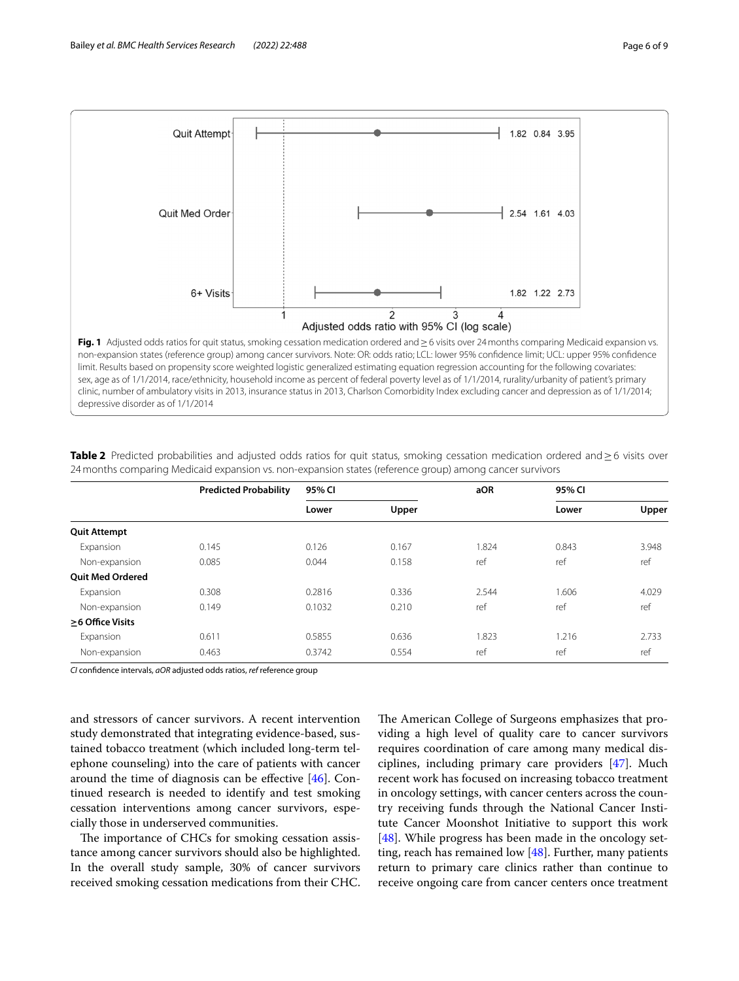

<span id="page-5-1"></span><span id="page-5-0"></span>**Table 2** Predicted probabilities and adjusted odds ratios for quit status, smoking cessation medication ordered and≥6 visits over 24months comparing Medicaid expansion vs. non-expansion states (reference group) among cancer survivors

|                         | <b>Predicted Probability</b> | 95% CI |       | aOR   | 95% CI |       |  |
|-------------------------|------------------------------|--------|-------|-------|--------|-------|--|
|                         |                              | Lower  | Upper |       | Lower  | Upper |  |
| <b>Quit Attempt</b>     |                              |        |       |       |        |       |  |
| Expansion               | 0.145                        | 0.126  | 0.167 | 1.824 | 0.843  | 3.948 |  |
| Non-expansion           | 0.085                        | 0.044  | 0.158 | ref   | ref    | ref   |  |
| <b>Ouit Med Ordered</b> |                              |        |       |       |        |       |  |
| Expansion               | 0.308                        | 0.2816 | 0.336 | 2.544 | 1.606  | 4.029 |  |
| Non-expansion           | 0.149                        | 0.1032 | 0.210 | ref   | ref    | ref   |  |
| $\geq$ 6 Office Visits  |                              |        |       |       |        |       |  |
| Expansion               | 0.611                        | 0.5855 | 0.636 | 1.823 | 1.216  | 2.733 |  |
| Non-expansion           | 0.463                        | 0.3742 | 0.554 | ref   | ref    | ref   |  |

*CI* confdence intervals, *aOR* adjusted odds ratios, *ref* reference group

and stressors of cancer survivors. A recent intervention study demonstrated that integrating evidence-based, sustained tobacco treatment (which included long-term telephone counseling) into the care of patients with cancer around the time of diagnosis can be efective [\[46\]](#page-8-10). Continued research is needed to identify and test smoking cessation interventions among cancer survivors, especially those in underserved communities.

The importance of CHCs for smoking cessation assistance among cancer survivors should also be highlighted. In the overall study sample, 30% of cancer survivors received smoking cessation medications from their CHC. The American College of Surgeons emphasizes that providing a high level of quality care to cancer survivors requires coordination of care among many medical disciplines, including primary care providers [\[47\]](#page-8-11). Much recent work has focused on increasing tobacco treatment in oncology settings, with cancer centers across the country receiving funds through the National Cancer Institute Cancer Moonshot Initiative to support this work [[48\]](#page-8-12). While progress has been made in the oncology setting, reach has remained low [\[48](#page-8-12)]. Further, many patients return to primary care clinics rather than continue to receive ongoing care from cancer centers once treatment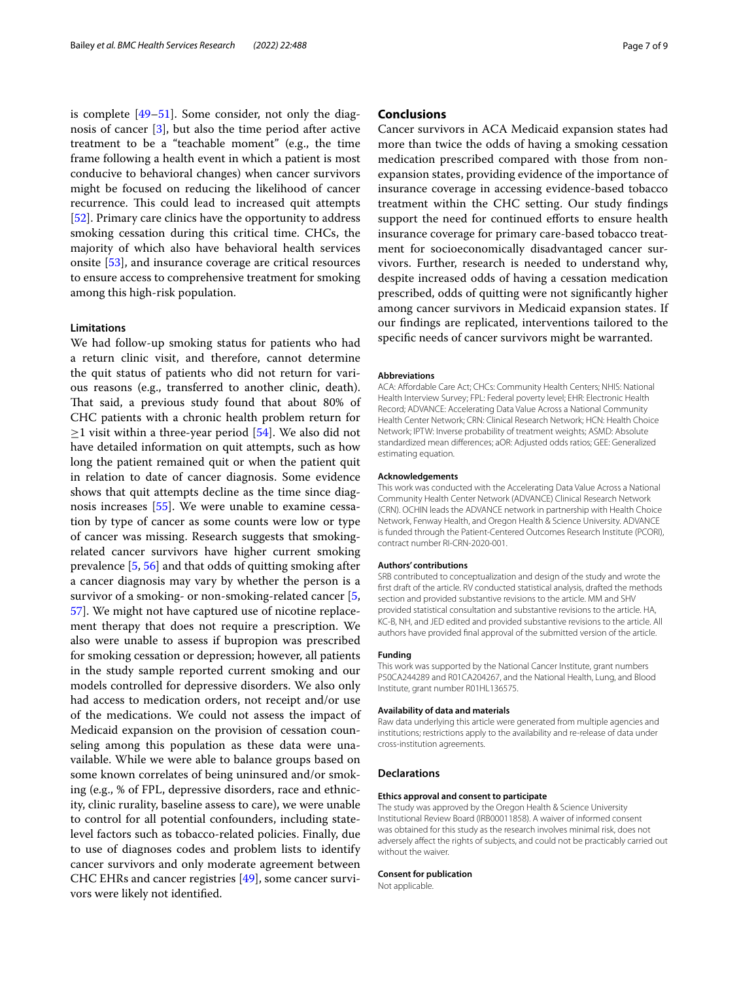is complete [[49](#page-8-13)[–51](#page-8-14)]. Some consider, not only the diagnosis of cancer [[3\]](#page-7-2), but also the time period after active treatment to be a "teachable moment" (e.g., the time frame following a health event in which a patient is most conducive to behavioral changes) when cancer survivors might be focused on reducing the likelihood of cancer recurrence. This could lead to increased quit attempts [[52\]](#page-8-15). Primary care clinics have the opportunity to address smoking cessation during this critical time. CHCs, the majority of which also have behavioral health services onsite [\[53](#page-8-16)], and insurance coverage are critical resources to ensure access to comprehensive treatment for smoking among this high-risk population.

# **Limitations**

We had follow-up smoking status for patients who had a return clinic visit, and therefore, cannot determine the quit status of patients who did not return for various reasons (e.g., transferred to another clinic, death). That said, a previous study found that about 80% of CHC patients with a chronic health problem return for  $\geq$ 1 visit within a three-year period [[54\]](#page-8-17). We also did not have detailed information on quit attempts, such as how long the patient remained quit or when the patient quit in relation to date of cancer diagnosis. Some evidence shows that quit attempts decline as the time since diagnosis increases [[55](#page-8-18)]. We were unable to examine cessation by type of cancer as some counts were low or type of cancer was missing. Research suggests that smokingrelated cancer survivors have higher current smoking prevalence [\[5](#page-7-4), [56\]](#page-8-19) and that odds of quitting smoking after a cancer diagnosis may vary by whether the person is a survivor of a smoking- or non-smoking-related cancer [\[5](#page-7-4), [57\]](#page-8-20). We might not have captured use of nicotine replacement therapy that does not require a prescription. We also were unable to assess if bupropion was prescribed for smoking cessation or depression; however, all patients in the study sample reported current smoking and our models controlled for depressive disorders. We also only had access to medication orders, not receipt and/or use of the medications. We could not assess the impact of Medicaid expansion on the provision of cessation counseling among this population as these data were unavailable. While we were able to balance groups based on some known correlates of being uninsured and/or smoking (e.g., % of FPL, depressive disorders, race and ethnicity, clinic rurality, baseline assess to care), we were unable to control for all potential confounders, including statelevel factors such as tobacco-related policies. Finally, due to use of diagnoses codes and problem lists to identify cancer survivors and only moderate agreement between CHC EHRs and cancer registries [[49](#page-8-13)], some cancer survivors were likely not identifed.

# **Conclusions**

Cancer survivors in ACA Medicaid expansion states had more than twice the odds of having a smoking cessation medication prescribed compared with those from nonexpansion states, providing evidence of the importance of insurance coverage in accessing evidence-based tobacco treatment within the CHC setting. Our study fndings support the need for continued efforts to ensure health insurance coverage for primary care-based tobacco treatment for socioeconomically disadvantaged cancer survivors. Further, research is needed to understand why, despite increased odds of having a cessation medication prescribed, odds of quitting were not signifcantly higher among cancer survivors in Medicaid expansion states. If our fndings are replicated, interventions tailored to the specifc needs of cancer survivors might be warranted.

#### **Abbreviations**

ACA: Afordable Care Act; CHCs: Community Health Centers; NHIS: National Health Interview Survey; FPL: Federal poverty level; EHR: Electronic Health Record; ADVANCE: Accelerating Data Value Across a National Community Health Center Network; CRN: Clinical Research Network; HCN: Health Choice Network; IPTW: Inverse probability of treatment weights; ASMD: Absolute standardized mean diferences; aOR: Adjusted odds ratios; GEE: Generalized estimating equation.

#### **Acknowledgements**

This work was conducted with the Accelerating Data Value Across a National Community Health Center Network (ADVANCE) Clinical Research Network (CRN). OCHIN leads the ADVANCE network in partnership with Health Choice Network, Fenway Health, and Oregon Health & Science University. ADVANCE is funded through the Patient-Centered Outcomes Research Institute (PCORI), contract number RI-CRN-2020-001.

### **Authors' contributions**

SRB contributed to conceptualization and design of the study and wrote the frst draft of the article. RV conducted statistical analysis, drafted the methods section and provided substantive revisions to the article. MM and SHV provided statistical consultation and substantive revisions to the article. HA, KC-B, NH, and JED edited and provided substantive revisions to the article. All authors have provided fnal approval of the submitted version of the article.

#### **Funding**

This work was supported by the National Cancer Institute, grant numbers P50CA244289 and R01CA204267, and the National Health, Lung, and Blood Institute, grant number R01HL136575.

#### **Availability of data and materials**

Raw data underlying this article were generated from multiple agencies and institutions; restrictions apply to the availability and re-release of data under cross-institution agreements.

### **Declarations**

#### **Ethics approval and consent to participate**

The study was approved by the Oregon Health & Science University Institutional Review Board (IRB00011858). A waiver of informed consent was obtained for this study as the research involves minimal risk, does not adversely afect the rights of subjects, and could not be practicably carried out without the waiver.

#### **Consent for publication**

Not applicable.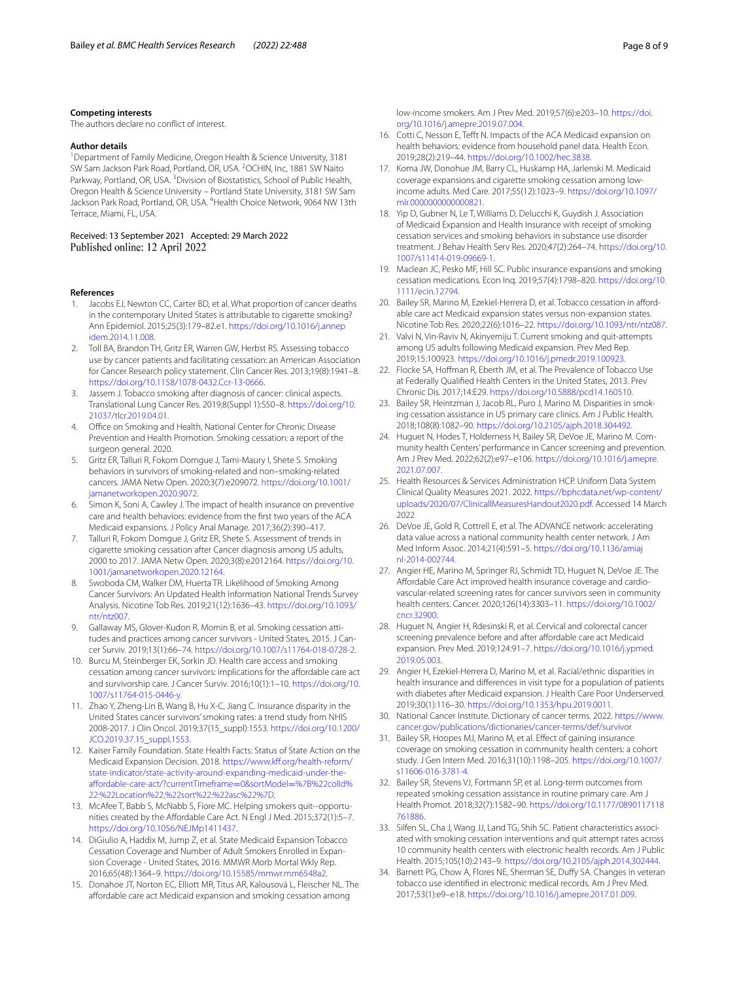### **Competing interests**

The authors declare no confict of interest.

# **Author details**

<sup>1</sup> Department of Family Medicine, Oregon Health & Science University, 3181 SW Sam Jackson Park Road, Portland, OR, USA. <sup>2</sup>OCHIN, Inc, 1881 SW Naito Parkway, Portland, OR, USA. <sup>3</sup> Division of Biostatistics, School of Public Health, Oregon Health & Science University – Portland State University, 3181 SW Sam Jackson Park Road, Portland, OR, USA. <sup>4</sup> Health Choice Network, 9064 NW 13th Terrace, Miami, FL, USA.

Received: 13 September 2021 Accepted: 29 March 2022 Published online: 12 April 2022

#### **References**

- <span id="page-7-0"></span>1. Jacobs EJ, Newton CC, Carter BD, et al. What proportion of cancer deaths in the contemporary United States is attributable to cigarette smoking? Ann Epidemiol. 2015;25(3):179–82.e1. [https://doi.org/10.1016/j.annep](https://doi.org/10.1016/j.annepidem.2014.11.008) [idem.2014.11.008.](https://doi.org/10.1016/j.annepidem.2014.11.008)
- <span id="page-7-1"></span>2. Toll BA, Brandon TH, Gritz ER, Warren GW, Herbst RS. Assessing tobacco use by cancer patients and facilitating cessation: an American Association for Cancer Research policy statement. Clin Cancer Res. 2013;19(8):1941–8. [https://doi.org/10.1158/1078-0432.Ccr-13-0666.](https://doi.org/10.1158/1078-0432.Ccr-13-0666)
- <span id="page-7-2"></span>3. Jassem J. Tobacco smoking after diagnosis of cancer: clinical aspects. Translational Lung Cancer Res. 2019;8(Suppl 1):S50–8. [https://doi.org/10.](https://doi.org/10.21037/tlcr.2019.04.01) [21037/tlcr.2019.04.01.](https://doi.org/10.21037/tlcr.2019.04.01)
- <span id="page-7-3"></span>Office on Smoking and Health, National Center for Chronic Disease Prevention and Health Promotion. Smoking cessation*:* a report of the surgeon general. 2020.
- <span id="page-7-4"></span>5. Gritz ER, Talluri R, Fokom Domgue J, Tami-Maury I, Shete S. Smoking behaviors in survivors of smoking-related and non–smoking-related cancers. JAMA Netw Open. 2020;3(7):e209072. [https://doi.org/10.1001/](https://doi.org/10.1001/jamanetworkopen.2020.9072) [jamanetworkopen.2020.9072.](https://doi.org/10.1001/jamanetworkopen.2020.9072)
- <span id="page-7-5"></span>6. Simon K, Soni A, Cawley J. The impact of health insurance on preventive care and health behaviors: evidence from the frst two years of the ACA Medicaid expansions. J Policy Anal Manage. 2017;36(2):390–417.
- <span id="page-7-6"></span>7. Talluri R, Fokom Domgue J, Gritz ER, Shete S. Assessment of trends in cigarette smoking cessation after Cancer diagnosis among US adults, 2000 to 2017. JAMA Netw Open. 2020;3(8):e2012164. [https://doi.org/10.](https://doi.org/10.1001/jamanetworkopen.2020.12164) [1001/jamanetworkopen.2020.12164.](https://doi.org/10.1001/jamanetworkopen.2020.12164)
- <span id="page-7-7"></span>8. Swoboda CM, Walker DM, Huerta TR. Likelihood of Smoking Among Cancer Survivors: An Updated Health Information National Trends Survey Analysis. Nicotine Tob Res. 2019;21(12):1636–43. [https://doi.org/10.1093/](https://doi.org/10.1093/ntr/ntz007) [ntr/ntz007](https://doi.org/10.1093/ntr/ntz007).
- 9. Gallaway MS, Glover-Kudon R, Momin B, et al. Smoking cessation attitudes and practices among cancer survivors - United States, 2015. J Cancer Surviv. 2019;13(1):66–74. [https://doi.org/10.1007/s11764-018-0728-2.](https://doi.org/10.1007/s11764-018-0728-2)
- <span id="page-7-8"></span>10. Burcu M, Steinberger EK, Sorkin JD. Health care access and smoking cessation among cancer survivors: implications for the afordable care act and survivorship care. J Cancer Surviv. 2016;10(1):1–10. [https://doi.org/10.](https://doi.org/10.1007/s11764-015-0446-y) [1007/s11764-015-0446-y](https://doi.org/10.1007/s11764-015-0446-y).
- <span id="page-7-9"></span>11. Zhao Y, Zheng-Lin B, Wang B, Hu X-C, Jiang C. Insurance disparity in the United States cancer survivors' smoking rates: a trend study from NHIS 2008-2017. J Clin Oncol. 2019;37(15\_suppl):1553. [https://doi.org/10.1200/](https://doi.org/10.1200/JCO.2019.37.15_suppl.1553) [JCO.2019.37.15\\_suppl.1553.](https://doi.org/10.1200/JCO.2019.37.15_suppl.1553)
- <span id="page-7-10"></span>12. Kaiser Family Foundation. State Health Facts: Status of State Action on the Medicaid Expansion Decision. 2018. [https://www.kf.org/health-reform/](https://www.kff.org/health-reform/state-indicator/state-activity-around-expanding-medicaid-under-the-affordable-care-act/?currentTimeframe=0&sortModel=%7B%22colId%22:%22Location%22,%22sort%22:%22asc%22%7D) [state-indicator/state-activity-around-expanding-medicaid-under-the](https://www.kff.org/health-reform/state-indicator/state-activity-around-expanding-medicaid-under-the-affordable-care-act/?currentTimeframe=0&sortModel=%7B%22colId%22:%22Location%22,%22sort%22:%22asc%22%7D) [afordable-care-act/?currentTimeframe](https://www.kff.org/health-reform/state-indicator/state-activity-around-expanding-medicaid-under-the-affordable-care-act/?currentTimeframe=0&sortModel=%7B%22colId%22:%22Location%22,%22sort%22:%22asc%22%7D)=0&sortModel=%7B%22colId% [22:%22Location%22,%22sort%22:%22asc%22%7D.](https://www.kff.org/health-reform/state-indicator/state-activity-around-expanding-medicaid-under-the-affordable-care-act/?currentTimeframe=0&sortModel=%7B%22colId%22:%22Location%22,%22sort%22:%22asc%22%7D)
- <span id="page-7-11"></span>13. McAfee T, Babb S, McNabb S, Fiore MC. Helping smokers quit--opportunities created by the Afordable Care Act. N Engl J Med. 2015;372(1):5–7. <https://doi.org/10.1056/NEJMp1411437>.
- <span id="page-7-12"></span>14. DiGiulio A, Haddix M, Jump Z, et al. State Medicaid Expansion Tobacco Cessation Coverage and Number of Adult Smokers Enrolled in Expansion Coverage - United States, 2016. MMWR Morb Mortal Wkly Rep. 2016;65(48):1364–9. [https://doi.org/10.15585/mmwr.mm6548a2.](https://doi.org/10.15585/mmwr.mm6548a2)
- <span id="page-7-13"></span>15. Donahoe JT, Norton EC, Elliott MR, Titus AR, Kalousová L, Fleischer NL. The affordable care act Medicaid expansion and smoking cessation among

low-income smokers. Am J Prev Med. 2019;57(6):e203–10. [https://doi.](https://doi.org/10.1016/j.amepre.2019.07.004) [org/10.1016/j.amepre.2019.07.004](https://doi.org/10.1016/j.amepre.2019.07.004).

- 16. Cotti C, Nesson E, Tefft N. Impacts of the ACA Medicaid expansion on health behaviors: evidence from household panel data. Health Econ. 2019;28(2):219–44. [https://doi.org/10.1002/hec.3838.](https://doi.org/10.1002/hec.3838)
- <span id="page-7-20"></span>17. Koma JW, Donohue JM, Barry CL, Huskamp HA, Jarlenski M. Medicaid coverage expansions and cigarette smoking cessation among lowincome adults. Med Care. 2017;55(12):1023–9. [https://doi.org/10.1097/](https://doi.org/10.1097/mlr.0000000000000821) [mlr.0000000000000821](https://doi.org/10.1097/mlr.0000000000000821).
- 18. Yip D, Gubner N, Le T, Williams D, Delucchi K, Guydish J. Association of Medicaid Expansion and Health Insurance with receipt of smoking cessation services and smoking behaviors in substance use disorder treatment. J Behav Health Serv Res. 2020;47(2):264–74. [https://doi.org/10.](https://doi.org/10.1007/s11414-019-09669-1) [1007/s11414-019-09669-1.](https://doi.org/10.1007/s11414-019-09669-1)
- 19. Maclean JC, Pesko MF, Hill SC. Public insurance expansions and smoking cessation medications. Econ Inq. 2019;57(4):1798–820. [https://doi.org/10.](https://doi.org/10.1111/ecin.12794) [1111/ecin.12794](https://doi.org/10.1111/ecin.12794).
- <span id="page-7-25"></span>20. Bailey SR, Marino M, Ezekiel-Herrera D, et al. Tobacco cessation in affordable care act Medicaid expansion states versus non-expansion states. Nicotine Tob Res. 2020;22(6):1016–22. [https://doi.org/10.1093/ntr/ntz087.](https://doi.org/10.1093/ntr/ntz087)
- <span id="page-7-14"></span>21. Valvi N, Vin-Raviv N, Akinyemiju T. Current smoking and quit-attempts among US adults following Medicaid expansion. Prev Med Rep. 2019;15:100923. [https://doi.org/10.1016/j.pmedr.2019.100923.](https://doi.org/10.1016/j.pmedr.2019.100923)
- <span id="page-7-15"></span>22. Flocke SA, Hoffman R, Eberth JM, et al. The Prevalence of Tobacco Use at Federally Qualifed Health Centers in the United States, 2013. Prev Chronic Dis. 2017;14:E29.<https://doi.org/10.5888/pcd14.160510>.
- <span id="page-7-16"></span>23. Bailey SR, Heintzman J, Jacob RL, Puro J, Marino M. Disparities in smoking cessation assistance in US primary care clinics. Am J Public Health. 2018;108(8):1082–90.<https://doi.org/10.2105/ajph.2018.304492>.
- <span id="page-7-17"></span>24. Huguet N, Hodes T, Holderness H, Bailey SR, DeVoe JE, Marino M. Community health Centers' performance in Cancer screening and prevention. Am J Prev Med. 2022;62(2):e97–e106. [https://doi.org/10.1016/j.amepre.](https://doi.org/10.1016/j.amepre.2021.07.007) [2021.07.007](https://doi.org/10.1016/j.amepre.2021.07.007).
- <span id="page-7-18"></span>25. Health Resources & Services Administration HCP. Uniform Data System Clinical Quality Measures 2021. 2022. [https://bphcdata.net/wp-content/](https://bphcdata.net/wp-content/uploads/2020/07/ClinicallMeasuresHandout2020.pdf) [uploads/2020/07/ClinicallMeasuresHandout2020.pdf](https://bphcdata.net/wp-content/uploads/2020/07/ClinicallMeasuresHandout2020.pdf). Accessed 14 March 2022
- <span id="page-7-19"></span>26. DeVoe JE, Gold R, Cottrell E, et al. The ADVANCE network: accelerating data value across a national community health center network. J Am Med Inform Assoc. 2014;21(4):591–5. [https://doi.org/10.1136/amiaj](https://doi.org/10.1136/amiajnl-2014-002744) [nl-2014-002744](https://doi.org/10.1136/amiajnl-2014-002744).
- <span id="page-7-21"></span>27. Angier HE, Marino M, Springer RJ, Schmidt TD, Huguet N, DeVoe JE. The Affordable Care Act improved health insurance coverage and cardiovascular-related screening rates for cancer survivors seen in community health centers. Cancer. 2020;126(14):3303–11. [https://doi.org/10.1002/](https://doi.org/10.1002/cncr.32900) [cncr.32900.](https://doi.org/10.1002/cncr.32900)
- 28. Huguet N, Angier H, Rdesinski R, et al. Cervical and colorectal cancer screening prevalence before and after affordable care act Medicaid expansion. Prev Med. 2019;124:91–7. [https://doi.org/10.1016/j.ypmed.](https://doi.org/10.1016/j.ypmed.2019.05.003) [2019.05.003](https://doi.org/10.1016/j.ypmed.2019.05.003).
- <span id="page-7-22"></span>29. Angier H, Ezekiel-Herrera D, Marino M, et al. Racial/ethnic disparities in health insurance and diferences in visit type for a population of patients with diabetes after Medicaid expansion. J Health Care Poor Underserved. 2019;30(1):116–30. [https://doi.org/10.1353/hpu.2019.0011.](https://doi.org/10.1353/hpu.2019.0011)
- <span id="page-7-23"></span>30. National Cancer Institute. Dictionary of cancer terms. 2022. [https://www.](https://www.cancer.gov/publications/dictionaries/cancer-terms/def/survivor) [cancer.gov/publications/dictionaries/cancer-terms/def/survivor](https://www.cancer.gov/publications/dictionaries/cancer-terms/def/survivor)
- <span id="page-7-24"></span>31. Bailey SR, Hoopes MJ, Marino M, et al. Efect of gaining insurance coverage on smoking cessation in community health centers: a cohort study. J Gen Intern Med. 2016;31(10):1198–205. [https://doi.org/10.1007/](https://doi.org/10.1007/s11606-016-3781-4) [s11606-016-3781-4.](https://doi.org/10.1007/s11606-016-3781-4)
- 32. Bailey SR, Stevens VJ, Fortmann SP, et al. Long-term outcomes from repeated smoking cessation assistance in routine primary care. Am J Health Promot. 2018;32(7):1582–90. [https://doi.org/10.1177/0890117118](https://doi.org/10.1177/0890117118761886) [761886.](https://doi.org/10.1177/0890117118761886)
- 33. Silfen SL, Cha J, Wang JJ, Land TG, Shih SC. Patient characteristics associated with smoking cessation interventions and quit attempt rates across 10 community health centers with electronic health records. Am J Public Health. 2015;105(10):2143–9. <https://doi.org/10.2105/ajph.2014.302444>.
- 34. Barnett PG, Chow A, Flores NE, Sherman SE, Dufy SA. Changes in veteran tobacco use identifed in electronic medical records. Am J Prev Med. 2017;53(1):e9–e18. [https://doi.org/10.1016/j.amepre.2017.01.009.](https://doi.org/10.1016/j.amepre.2017.01.009)